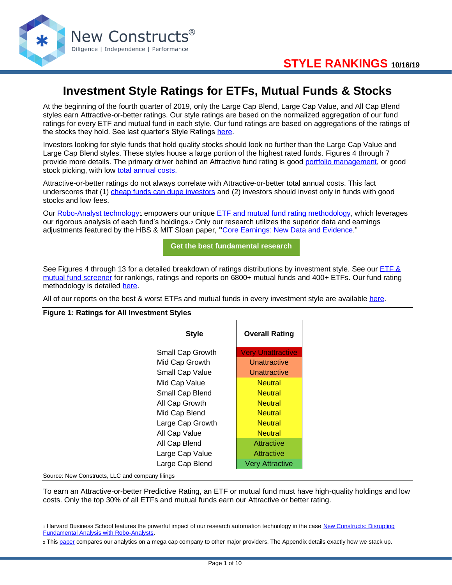

# **Investment Style Ratings for ETFs, Mutual Funds & Stocks**

At the beginning of the fourth quarter of 2019, only the Large Cap Blend, Large Cap Value, and All Cap Blend styles earn Attractive-or-better ratings. Our style ratings are based on the normalized aggregation of our fund ratings for every ETF and mutual fund in each style. Our fund ratings are based on aggregations of the ratings of the stocks they hold. See last quarter's Style Ratings [here.](https://www.newconstructs.com/style-ratings-for-etfs-mutual-funds-3q19/)

Investors looking for style funds that hold quality stocks should look no further than the Large Cap Value and Large Cap Blend styles. These styles house a large portion of the highest rated funds. Figures 4 through 7 provide more details. The primary driver behind an Attractive fund rating is good [portfolio management,](https://www.newconstructs.com/education-portfolio-management/) or good stock picking, with low [total annual costs.](https://www.newconstructs.com/education-total-annual-costs/)

Attractive-or-better ratings do not always correlate with Attractive-or-better total annual costs. This fact underscores that (1) [cheap funds can dupe investors](https://www.newconstructs.com/cheap-funds-dupe-investors-3q19/) and (2) investors should invest only in funds with good stocks and low fees.

Our [Robo-Analyst technology](https://www.newconstructs.com/technology/)<sub>1</sub> empowers our unique [ETF and mutual fund rating methodology,](https://www.newconstructs.com/education-etf-mutual-fund-rating/) which leverages our rigorous analysis of each fund's holdings.<sup>2</sup> Only our research utilizes the superior data and earnings adjustments featured by the HBS & MIT Sloan paper, **"**[Core Earnings: New Data and Evidence.](https://papers.ssrn.com/sol3/papers.cfm?abstract_id=3467814)"

**[Get the best fundamental research](https://www.newconstructs.com/membership/)**

See Figures 4 through 13 for a detailed breakdown of ratings distributions by investment style. See our ETF & [mutual fund screener](https://client.newconstructs.com/nc/fundscreener/fund-screener.htm) for rankings, ratings and reports on 6800+ mutual funds and 400+ ETFs. Our fund rating methodology is detailed [here.](https://www.newconstructs.com/education-etf-mutual-fund-rating/)

All of our reports on the best & worst ETFs and mutual funds in every investment style are available [here.](https://www.newconstructs.com/category/style/)

#### **Figure 1: Ratings for All Investment Styles**

| <b>Style</b>     | <b>Overall Rating</b>    |  |
|------------------|--------------------------|--|
| Small Cap Growth | <b>Very Unattractive</b> |  |
| Mid Cap Growth   | Unattractive             |  |
| Small Cap Value  | Unattractive             |  |
| Mid Cap Value    | <b>Neutral</b>           |  |
| Small Cap Blend  |                          |  |
| All Cap Growth   | <b>Neutral</b>           |  |
| Mid Cap Blend    | <b>Neutral</b>           |  |
| Large Cap Growth | <b>Neutral</b>           |  |
| All Cap Value    | <b>Neutral</b>           |  |
| All Cap Blend    | Attractive               |  |
| Large Cap Value  | Attractive               |  |
| Large Cap Blend  | <b>Very Attractive</b>   |  |

Source: New Constructs, LLC and company filings

To earn an Attractive-or-better Predictive Rating, an ETF or mutual fund must have high-quality holdings and low costs. Only the top 30% of all ETFs and mutual funds earn our Attractive or better rating.

<sup>1</sup> Harvard Business School features the powerful impact of our research automation technology in the case New Constructs: Disrupting [Fundamental Analysis with Robo-Analysts.](https://hbr.org/product/new-constructs-disrupting-fundamental-analysis-with-robo-analysts/118068-PDF-ENG)

<sup>2</sup> Thi[s paper](https://www.newconstructs.com/compare-our-data-roic-to-other-providers/) compares our analytics on a mega cap company to other major providers. The Appendix details exactly how we stack up.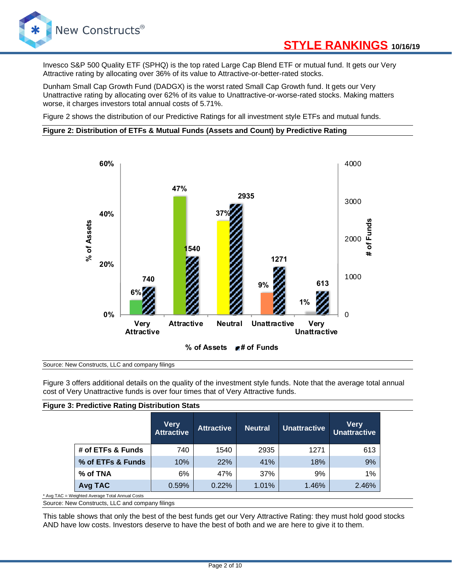

Invesco S&P 500 Quality ETF (SPHQ) is the top rated Large Cap Blend ETF or mutual fund. It gets our Very Attractive rating by allocating over 36% of its value to Attractive-or-better-rated stocks.

Dunham Small Cap Growth Fund (DADGX) is the worst rated Small Cap Growth fund. It gets our Very Unattractive rating by allocating over 62% of its value to Unattractive-or-worse-rated stocks. Making matters worse, it charges investors total annual costs of 5.71%.

Figure 2 shows the distribution of our Predictive Ratings for all investment style ETFs and mutual funds.

#### **Figure 2: Distribution of ETFs & Mutual Funds (Assets and Count) by Predictive Rating**



#### Source: New Constructs, LLC and company filings

Figure 3 offers additional details on the quality of the investment style funds. Note that the average total annual cost of Very Unattractive funds is over four times that of Very Attractive funds.

|                                                 | <b>Figure 3: Predictive Rating Distribution Stats</b> |                                  |                   |                |                     |                                    |  |  |  |
|-------------------------------------------------|-------------------------------------------------------|----------------------------------|-------------------|----------------|---------------------|------------------------------------|--|--|--|
|                                                 |                                                       | <b>Very</b><br><b>Attractive</b> | <b>Attractive</b> | <b>Neutral</b> | <b>Unattractive</b> | <b>Very</b><br><b>Unattractive</b> |  |  |  |
|                                                 | # of ETFs & Funds                                     | 740                              | 1540              | 2935           | 1271                | 613                                |  |  |  |
|                                                 | % of ETFs & Funds                                     | 10%                              | 22%               | 41%            | 18%                 | 9%                                 |  |  |  |
|                                                 | % of TNA                                              | 6%                               | 47%               | 37%            | 9%                  | $1\%$                              |  |  |  |
|                                                 | Avg TAC                                               | 0.59%                            | 0.22%             | 1.01%          | 1.46%               | 2.46%                              |  |  |  |
| * Avg TAC = Weighted Average Total Annual Costs |                                                       |                                  |                   |                |                     |                                    |  |  |  |

Source: New Constructs, LLC and company filings

This table shows that only the best of the best funds get our Very Attractive Rating: they must hold good stocks AND have low costs. Investors deserve to have the best of both and we are here to give it to them.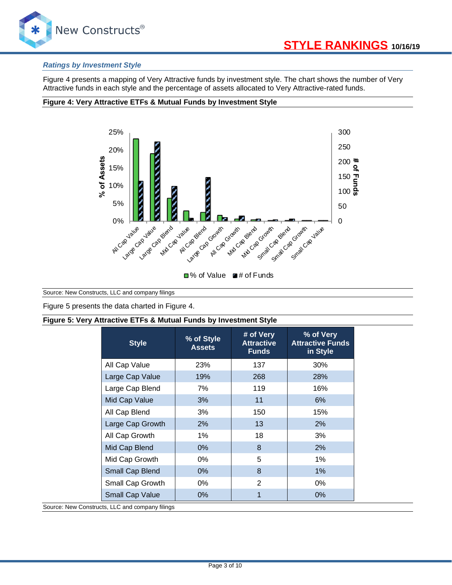

#### *Ratings by Investment Style*

Figure 4 presents a mapping of Very Attractive funds by investment style. The chart shows the number of Very Attractive funds in each style and the percentage of assets allocated to Very Attractive-rated funds.

#### **Figure 4: Very Attractive ETFs & Mutual Funds by Investment Style**



Source: New Constructs, LLC and company filings

Figure 5 presents the data charted in Figure 4.

#### **Figure 5: Very Attractive ETFs & Mutual Funds by Investment Style**

| <b>Style</b>     | % of Style<br><b>Assets</b> | # of Very<br><b>Attractive</b><br><b>Funds</b> | % of Very<br><b>Attractive Funds</b><br>in Style |  |
|------------------|-----------------------------|------------------------------------------------|--------------------------------------------------|--|
| All Cap Value    | 23%                         | 137                                            | 30%                                              |  |
| Large Cap Value  | 19%                         | 268                                            | <b>28%</b>                                       |  |
| Large Cap Blend  | 7%                          | 119                                            | 16%                                              |  |
| Mid Cap Value    | 3%                          | 11                                             | 6%                                               |  |
| All Cap Blend    | 3%                          | 150                                            | 15%                                              |  |
| Large Cap Growth | 2%                          | 13                                             | 2%                                               |  |
| All Cap Growth   | 1%                          | 18                                             | 3%                                               |  |
| Mid Cap Blend    | $0\%$                       | 8                                              | 2%                                               |  |
| Mid Cap Growth   | 0%                          | 5                                              | 1%                                               |  |
| Small Cap Blend  | $0\%$                       | 8                                              | 1%                                               |  |
| Small Cap Growth | 0%                          | 2                                              | 0%                                               |  |
| Small Cap Value  | $0\%$                       | 1                                              | $0\%$                                            |  |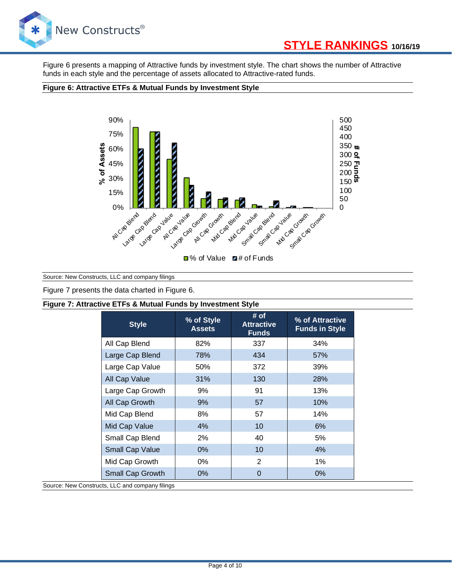

# **[STYLE RANKINGS](https://www.newconstructs.com/category/etf-mutual-fund-research/) 10/16/19**

Figure 6 presents a mapping of Attractive funds by investment style. The chart shows the number of Attractive funds in each style and the percentage of assets allocated to Attractive-rated funds.

#### **Figure 6: Attractive ETFs & Mutual Funds by Investment Style**



Source: New Constructs, LLC and company filings

Figure 7 presents the data charted in Figure 6.

#### **Figure 7: Attractive ETFs & Mutual Funds by Investment Style**

| <b>Style</b>           | % of Style<br><b>Assets</b> | # of<br><b>Attractive</b><br><b>Funds</b> | % of Attractive<br><b>Funds in Style</b> |  |
|------------------------|-----------------------------|-------------------------------------------|------------------------------------------|--|
| All Cap Blend          | 82%                         | 337                                       | 34%                                      |  |
| Large Cap Blend        | 78%                         | 434                                       | 57%                                      |  |
| Large Cap Value        | 50%                         | 372                                       | 39%                                      |  |
| All Cap Value          | 31%                         | 130                                       | <b>28%</b>                               |  |
| Large Cap Growth       | 9%                          | 91                                        | 13%                                      |  |
| All Cap Growth         | 9%                          | 57                                        | 10%                                      |  |
| Mid Cap Blend          | 8%                          | 57                                        | 14%                                      |  |
| Mid Cap Value          | 4%                          | 10                                        | 6%                                       |  |
| Small Cap Blend        | 2%                          | 40                                        | 5%                                       |  |
| <b>Small Cap Value</b> | $0\%$                       | 10                                        | 4%                                       |  |
| Mid Cap Growth         | $0\%$                       | $\mathcal{P}$                             | $1\%$                                    |  |
| Small Cap Growth       | $0\%$                       | $\Omega$                                  | $0\%$                                    |  |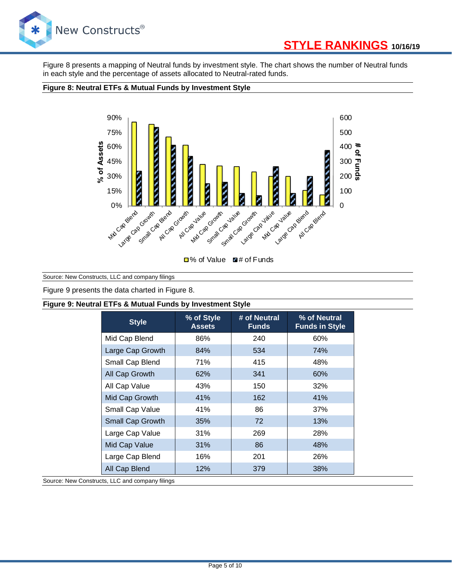

# **[STYLE RANKINGS](https://www.newconstructs.com/category/etf-mutual-fund-research/) 10/16/19**

Figure 8 presents a mapping of Neutral funds by investment style. The chart shows the number of Neutral funds in each style and the percentage of assets allocated to Neutral-rated funds.

#### **Figure 8: Neutral ETFs & Mutual Funds by Investment Style**



□% of Value ■# of Funds

Source: New Constructs, LLC and company filings

Figure 9 presents the data charted in Figure 8.

#### **Figure 9: Neutral ETFs & Mutual Funds by Investment Style**

| <b>Style</b>     | % of Style<br><b>Assets</b> | # of Neutral<br><b>Funds</b> | % of Neutral<br><b>Funds in Style</b> |
|------------------|-----------------------------|------------------------------|---------------------------------------|
| Mid Cap Blend    | 86%                         | 240                          | 60%                                   |
| Large Cap Growth | 84%                         | 534                          | 74%                                   |
| Small Cap Blend  | 71%                         | 415                          | 48%                                   |
| All Cap Growth   | 62%                         | 341                          | 60%                                   |
| All Cap Value    | 43%                         | 150                          | 32%                                   |
| Mid Cap Growth   | 41%                         | 162                          | 41%                                   |
| Small Cap Value  | 41%                         | 86                           | 37%                                   |
| Small Cap Growth | 35%                         | 72                           | 13%                                   |
| Large Cap Value  | 31%                         | 269                          | <b>28%</b>                            |
| Mid Cap Value    | 31%                         | 86                           | 48%                                   |
| Large Cap Blend  | 16%                         | 201                          | <b>26%</b>                            |
| All Cap Blend    | 12%                         | 379                          | 38%                                   |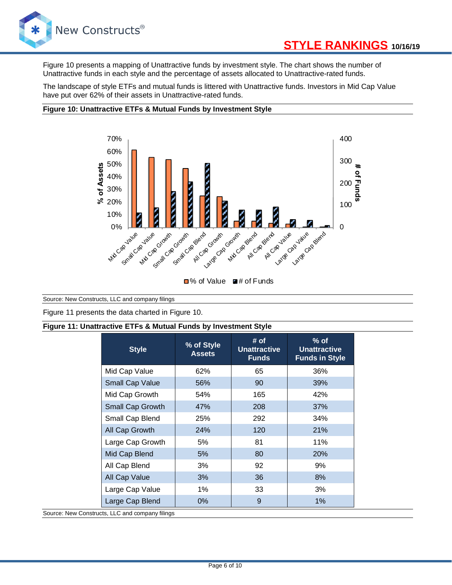

Figure 10 presents a mapping of Unattractive funds by investment style. The chart shows the number of Unattractive funds in each style and the percentage of assets allocated to Unattractive-rated funds.

The landscape of style ETFs and mutual funds is littered with Unattractive funds. Investors in Mid Cap Value have put over 62% of their assets in Unattractive-rated funds.

#### **Figure 10: Unattractive ETFs & Mutual Funds by Investment Style**



■% of Value ■# of Funds

Source: New Constructs, LLC and company filings

Figure 11 presents the data charted in Figure 10.

#### **Figure 11: Unattractive ETFs & Mutual Funds by Investment Style**

| <b>Style</b>     | % of Style<br><b>Assets</b> | # of<br><b>Unattractive</b><br><b>Funds</b> | $%$ of<br><b>Unattractive</b><br><b>Funds in Style</b> |  |
|------------------|-----------------------------|---------------------------------------------|--------------------------------------------------------|--|
| Mid Cap Value    | 62%                         | 65                                          | 36%                                                    |  |
| Small Cap Value  | 56%                         | 90                                          | 39%                                                    |  |
| Mid Cap Growth   | 54%                         | 165                                         | 42%                                                    |  |
| Small Cap Growth | 47%                         | 208                                         | 37%                                                    |  |
| Small Cap Blend  | 25%                         | 292                                         | 34%                                                    |  |
| All Cap Growth   | 24%                         | 120                                         | 21%                                                    |  |
| Large Cap Growth | 5%                          | 81                                          | 11%                                                    |  |
| Mid Cap Blend    | 5%                          | 80                                          | 20%                                                    |  |
| All Cap Blend    | 3%                          | 92                                          | 9%                                                     |  |
| All Cap Value    | 3%                          | 36                                          | 8%                                                     |  |
| Large Cap Value  | 1%                          | 33                                          | 3%                                                     |  |
| Large Cap Blend  | $0\%$                       | 9                                           | 1%                                                     |  |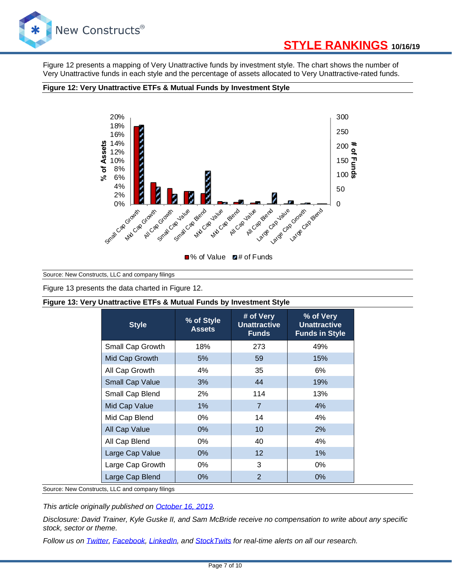

# **[STYLE RANKINGS](https://www.newconstructs.com/category/etf-mutual-fund-research/) 10/16/19**

Figure 12 presents a mapping of Very Unattractive funds by investment style. The chart shows the number of Very Unattractive funds in each style and the percentage of assets allocated to Very Unattractive-rated funds.

#### **Figure 12: Very Unattractive ETFs & Mutual Funds by Investment Style**



Source: New Constructs, LLC and company filings

Figure 13 presents the data charted in Figure 12.

#### **Figure 13: Very Unattractive ETFs & Mutual Funds by Investment Style**

| <b>Style</b>           | % of Style<br><b>Assets</b> | # of Very<br><b>Unattractive</b><br><b>Funds</b> | % of Very<br><b>Unattractive</b><br><b>Funds in Style</b> |  |
|------------------------|-----------------------------|--------------------------------------------------|-----------------------------------------------------------|--|
| Small Cap Growth       | 18%                         | 273                                              | 49%                                                       |  |
| Mid Cap Growth         | 5%                          | 59                                               | 15%                                                       |  |
| All Cap Growth         | 4%                          | 35                                               | 6%                                                        |  |
| <b>Small Cap Value</b> | 3%                          | 44                                               | 19%                                                       |  |
| Small Cap Blend        | 2%                          | 114                                              | 13%                                                       |  |
| Mid Cap Value          | $1\%$                       | $\overline{7}$                                   | 4%                                                        |  |
| Mid Cap Blend          | 0%                          | 14                                               | 4%                                                        |  |
| All Cap Value          | $0\%$                       | 10                                               | 2%                                                        |  |
| All Cap Blend          | 0%                          | 40                                               | 4%                                                        |  |
| Large Cap Value        | $0\%$                       | 12                                               | 1%                                                        |  |
| Large Cap Growth       | 0%                          | 3                                                | $0\%$                                                     |  |
| Large Cap Blend        | $0\%$                       | $\overline{2}$                                   | $0\%$                                                     |  |

Source: New Constructs, LLC and company filings

*This article originally published on [October 16, 2019.](https://www.newconstructs.com/style-ratings-for-etfs-mutual-funds-4q19/)* 

*Disclosure: David Trainer, Kyle Guske II, and Sam McBride receive no compensation to write about any specific stock, sector or theme.*

*Follow us on [Twitter,](https://twitter.com/NewConstructs) [Facebook,](https://www.facebook.com/newconstructsllc/) [LinkedIn,](https://www.linkedin.com/company/new-constructs) and [StockTwits](https://stocktwits.com/dtrainer_NewConstructs) for real-time alerts on all our research.*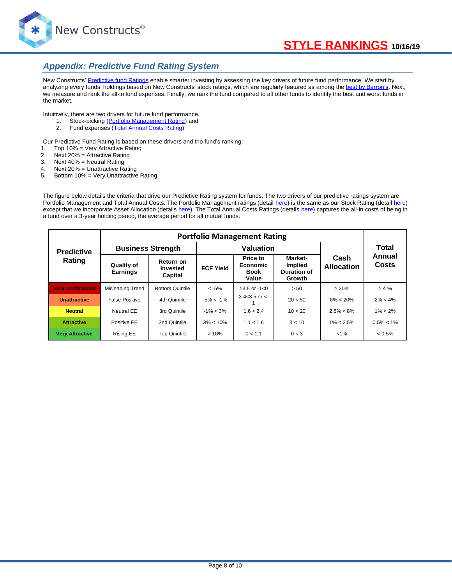

### *Appendix: Predictive Fund Rating System*

New Constructs' [Predictive fund Ratings](http://blog.newconstructs.com/2011/11/23/predictive-fund-rating-methodology/) enable smarter investing by assessing the key drivers of future fund performance. We start by analyzing every funds' holdings based on New Constructs' stock ratings, which are regularly featured as among th[e best by Barron's.](http://blog.newconstructs.com/2010/07/31/1-ranking-for-stock-picking-for-new-constructs-again/) Next, we measure and rank the all-in fund expenses. Finally, we rank the fund compared to all other funds to identify the best and worst funds in the market.

Intuitively, there are two drivers for future fund performance.

- 1. Stock-picking [\(Portfolio Management Rating\)](http://blog.newconstructs.com/2011/11/22/portfolio-management-rating-methodology/) and
- 2. Fund expenses [\(Total Annual Costs Rating\)](http://blog.newconstructs.com/2011/10/28/total-annual-costs-methodology/)

Our Predictive Fund Rating is based on these drivers and the fund's ranking:

- 1. Top 10% = Very Attractive Rating
- 2. Next 20% = Attractive Rating
- 3. Next 40% = Neutral Rating
- 4. Next 20% = Unattractive Rating
- 5. Bottom 10% = Very Unattractive Rating

The figure below details the criteria that drive our Predictive Rating system for funds. The two drivers of our predictive ratings system are Portfolio Management and Total Annual Costs. The Portfolio Management ratings (detail [here\)](http://blog.newconstructs.com/2011/11/22/portfolio-management-rating-methodology/) is the same as our Stock Rating (detai[l here\)](http://blog.newconstructs.com/2011/11/22/stock-rating-system-new-constructs-methodology-for-rating-equities/) except that we incorporate Asset Allocation (detail[s here\)](http://blog.newconstructs.com/2011/10/28/fund-asset-allocation-methodology/). The Total Annual Costs Ratings (details [here\)](http://blog.newconstructs.com/2011/10/28/total-annual-costs-methodology/) captures the all-in costs of being in a fund over a 3-year holding period, the average period for all mutual funds.

|                          | <b>Portfolio Management Rating</b> |                                  |                  |                                              |                                                           |                           |                 |
|--------------------------|------------------------------------|----------------------------------|------------------|----------------------------------------------|-----------------------------------------------------------|---------------------------|-----------------|
| <b>Predictive</b>        | <b>Business Strength</b>           |                                  | <b>Valuation</b> |                                              |                                                           |                           | Total           |
| Rating                   | Quality of<br><b>Earnings</b>      | Return on<br>Invested<br>Capital | <b>FCF Yield</b> | Price to<br>Economic<br><b>Book</b><br>Value | Market-<br><b>Implied</b><br><b>Duration of</b><br>Growth | Cash<br><b>Allocation</b> | Annual<br>Costs |
| <b>Very Unattractive</b> | Misleading Trend                   | <b>Bottom Quintile</b>           | $< -5\%$         | $>3.5$ or $-1<0$                             | > 50                                                      | >20%                      | > 4%            |
| <b>Unattractive</b>      | <b>False Positive</b>              | 4th Quintile                     | $-5\% < -1\%$    | 2.4<3.5 or $\lt$ -                           | 20 < 50                                                   | $8\% < 20\%$              | $2\% < 4\%$     |
| <b>Neutral</b>           | Neutral EE                         | 3rd Quintile                     | $-1\% < 3\%$     | 1.6 < 2.4                                    | 10 < 20                                                   | $2.5\% < 8\%$             | $1\% < 2\%$     |
| <b>Attractive</b>        | Positive EE                        | 2nd Quintile                     | $3\% < 10\%$     | 1.1 < 1.6                                    | 3 < 10                                                    | $1\% < 2.5\%$             | $0.5\% < 1\%$   |
| <b>Very Attractive</b>   | Rising EE                          | <b>Top Quintile</b>              | >10%             | 0 < 1.1                                      | 0 < 3                                                     | $1\%$                     | $< 0.5\%$       |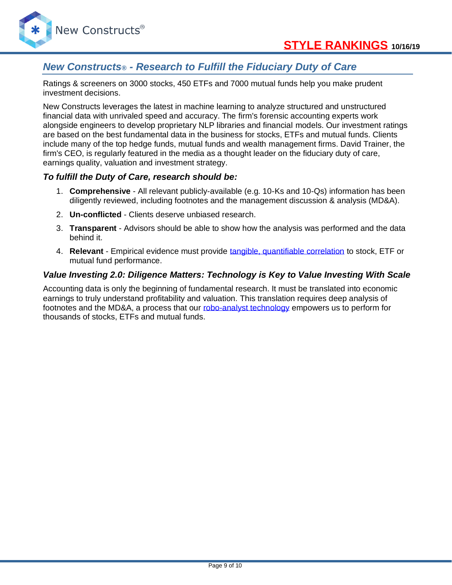## *New Constructs® - Research to Fulfill the Fiduciary Duty of Care*

Ratings & screeners on 3000 stocks, 450 ETFs and 7000 mutual funds help you make prudent investment decisions.

New Constructs leverages the latest in machine learning to analyze structured and unstructured financial data with unrivaled speed and accuracy. The firm's forensic accounting experts work alongside engineers to develop proprietary NLP libraries and financial models. Our investment ratings are based on the best fundamental data in the business for stocks, ETFs and mutual funds. Clients include many of the top hedge funds, mutual funds and wealth management firms. David Trainer, the firm's CEO, is regularly featured in the media as a thought leader on the fiduciary duty of care, earnings quality, valuation and investment strategy.

### *To fulfill the Duty of Care, research should be:*

- 1. **Comprehensive** All relevant publicly-available (e.g. 10-Ks and 10-Qs) information has been diligently reviewed, including footnotes and the management discussion & analysis (MD&A).
- 2. **Un-conflicted** Clients deserve unbiased research.
- 3. **Transparent** Advisors should be able to show how the analysis was performed and the data behind it.
- 4. **Relevant** Empirical evidence must provide [tangible, quantifiable correlation](https://www.newconstructs.com/roic-paradigm-linking-corporate-performance-valuation/) to stock, ETF or mutual fund performance.

### *Value Investing 2.0: Diligence Matters: Technology is Key to Value Investing With Scale*

Accounting data is only the beginning of fundamental research. It must be translated into economic earnings to truly understand profitability and valuation. This translation requires deep analysis of footnotes and the MD&A, a process that our [robo-analyst technology](https://www.newconstructs.com/technology/) empowers us to perform for thousands of stocks, ETFs and mutual funds.